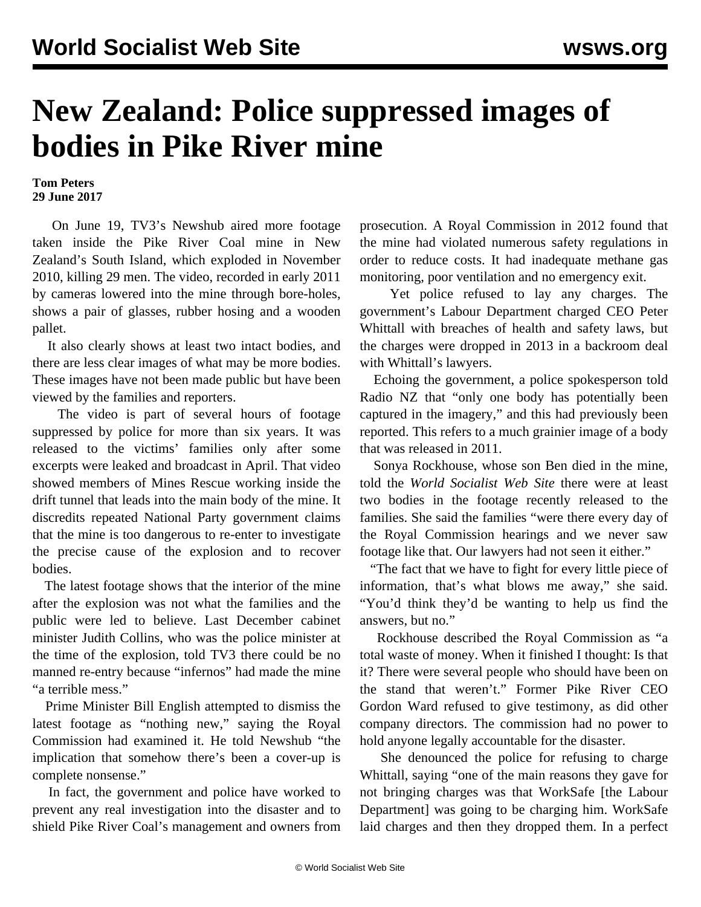## **New Zealand: Police suppressed images of bodies in Pike River mine**

**Tom Peters 29 June 2017**

 On June 19, TV3's Newshub aired more footage taken inside the Pike River Coal mine in New Zealand's South Island, which exploded in November 2010, killing 29 men. The video, recorded in early 2011 by cameras lowered into the mine through bore-holes, shows a pair of glasses, rubber hosing and a wooden pallet.

 It also clearly shows at least two intact bodies, and there are less clear images of what may be more bodies. These images have not been made public but have been viewed by the families and reporters.

 The video is part of several hours of footage suppressed by police for more than six years. It was released to the victims' families only after some excerpts were leaked and broadcast in April. That video showed members of Mines Rescue working inside the drift tunnel that leads into the main body of the mine. It discredits repeated National Party government [claims](/en/articles/2017/05/17/nprc-m17.html) that the mine is too dangerous to re-enter to investigate the precise cause of the explosion and to recover bodies.

 The latest footage shows that the interior of the mine after the explosion was not what the families and the public were led to believe. Last December cabinet minister Judith Collins, who was the police minister at the time of the explosion, told TV3 there could be no manned re-entry because "infernos" had made the mine "a terrible mess."

 Prime Minister Bill English attempted to dismiss the latest footage as "nothing new," saying the Royal Commission had examined it. He told Newshub "the implication that somehow there's been a cover-up is complete nonsense."

 In fact, the government and police have worked to prevent any real investigation into the disaster and to shield Pike River Coal's management and owners from prosecution. A Royal Commission in 2012 found that the mine had violated numerous safety regulations in order to reduce costs. It had inadequate methane gas monitoring, poor ventilation and no emergency exit.

 Yet police refused to lay any charges. The government's Labour Department charged CEO Peter Whittall with breaches of health and safety laws, but the charges were dropped in 2013 in a [backroom deal](/en/articles/2014/03/03/pike-m03.html) with Whittall's lawyers.

 Echoing the government, a police spokesperson told Radio NZ that "only one body has potentially been captured in the imagery," and this had previously been reported. This refers to a much grainier image of a body that was released in 2011.

 Sonya Rockhouse, whose son Ben died in the mine, told the *World Socialist Web Site* there were at least two bodies in the footage recently released to the families. She said the families "were there every day of the Royal Commission hearings and we never saw footage like that. Our lawyers had not seen it either."

 "The fact that we have to fight for every little piece of information, that's what blows me away," she said. "You'd think they'd be wanting to help us find the answers, but no."

 Rockhouse described the Royal Commission as "a total waste of money. When it finished I thought: Is that it? There were several people who should have been on the stand that weren't." Former Pike River CEO Gordon Ward refused to give testimony, as did other company directors. The commission had no power to hold anyone legally accountable for the disaster.

 She denounced the police for refusing to charge Whittall, saying "one of the main reasons they gave for not bringing charges was that WorkSafe [the Labour Department] was going to be charging him. WorkSafe laid charges and then they dropped them. In a perfect